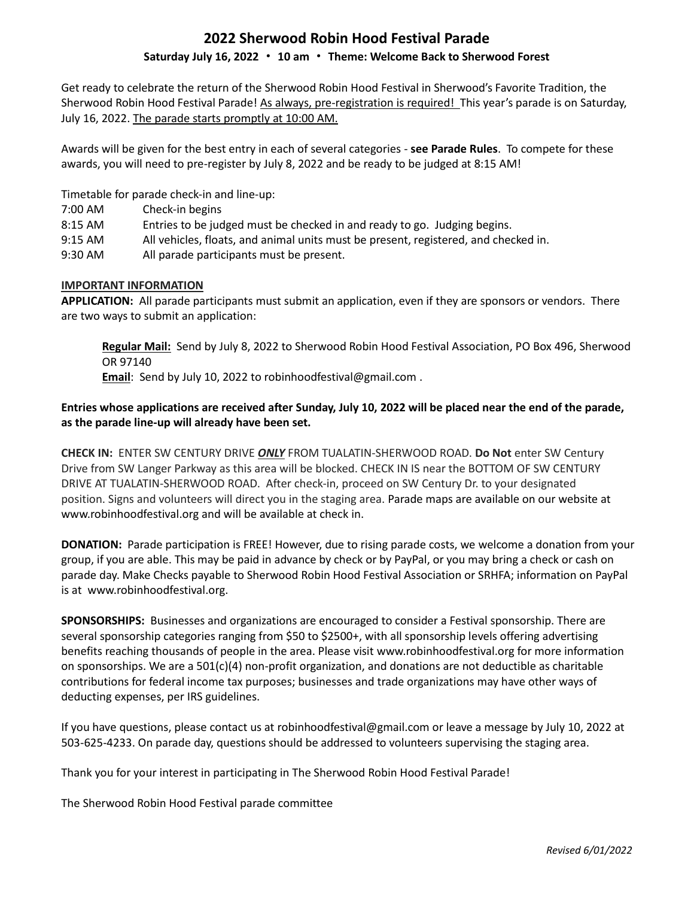# **2022 Sherwood Robin Hood Festival Parade Saturday July 16, 2022** · **10 am** · **Theme: Welcome Back to Sherwood Forest**

Get ready to celebrate the return of the Sherwood Robin Hood Festival in Sherwood's Favorite Tradition, the Sherwood Robin Hood Festival Parade! As always, pre-registration is required! This year's parade is on Saturday, July 16, 2022. The parade starts promptly at 10:00 AM.

Awards will be given for the best entry in each of several categories - **see Parade Rules**. To compete for these awards, you will need to pre-register by July 8, 2022 and be ready to be judged at 8:15 AM!

Timetable for parade check-in and line-up:

- 7:00 AM Check-in begins
- 8:15 AM Entries to be judged must be checked in and ready to go. Judging begins.
- 9:15 AM All vehicles, floats, and animal units must be present, registered, and checked in.
- 9:30 AM All parade participants must be present.

### **IMPORTANT INFORMATION**

**APPLICATION:** All parade participants must submit an application, even if they are sponsors or vendors. There are two ways to submit an application:

**Regular Mail:** Send by July 8, 2022 to Sherwood Robin Hood Festival Association, PO Box 496, Sherwood OR 97140

**Email**: Send by July 10, 2022 to [robinhoodfestival@gmail.com](mailto:robinhoodfestival@gmail.com) .

## **Entries whose applications are received after Sunday, July 10, 2022 will be placed near the end of the parade, as the parade line-up will already have been set.**

**CHECK IN:** ENTER SW CENTURY DRIVE *ONLY* FROM TUALATIN-SHERWOOD ROAD. **Do Not** enter SW Century Drive from SW Langer Parkway as this area will be blocked. CHECK IN IS near the BOTTOM OF SW CENTURY DRIVE AT TUALATIN-SHERWOOD ROAD. After check-in, proceed on SW Century Dr. to your designated position. Signs and volunteers will direct you in the staging area. Parade maps are available on our website at [www.robinhoodfestival.org](http://www.robinhoodfestival.org/) and will be available at check in.

**DONATION:** Parade participation is FREE! However, due to rising parade costs, we welcome a donation from your group, if you are able. This may be paid in advance by check or by PayPal, or you may bring a check or cash on parade day. Make Checks payable to Sherwood Robin Hood Festival Association or SRHFA; information on PayPal is at [www.robinhoodfestival.org.](http://www.robinhoodfestival.org/)

**SPONSORSHIPS:** Businesses and organizations are encouraged to consider a Festival sponsorship. There are several sponsorship categories ranging from \$50 to \$2500+, with all sponsorship levels offering advertising benefits reaching thousands of people in the area. Please visit [www.robinhoodfestival.org](http://www.robinhoodfestival.org/) for more information on sponsorships. We are a  $501(c)(4)$  non-profit organization, and donations are not deductible as charitable contributions for federal income tax purposes; businesses and trade organizations may have other ways of deducting expenses, per IRS guidelines.

If you have questions, please contact us a[t robinhoodfestival@gmail.com](mailto:robinhoodfestival@gmail.com) or leave a message by July 10, 2022 at 503-625-4233. On parade day, questions should be addressed to volunteers supervising the staging area.

Thank you for your interest in participating in The Sherwood Robin Hood Festival Parade!

The Sherwood Robin Hood Festival parade committee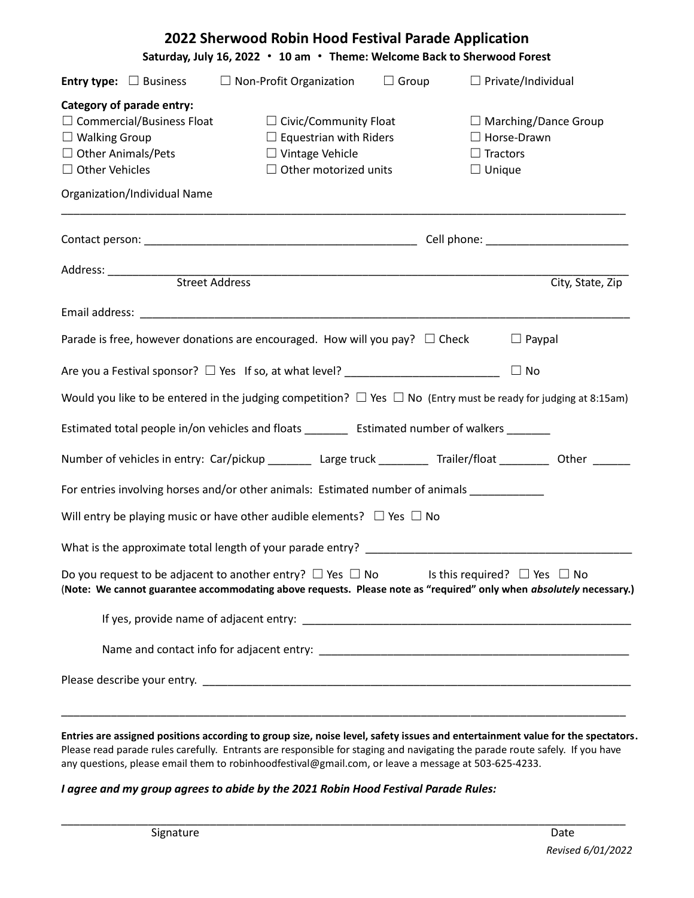|                                                                                                                                                                             | 2022 Sherwood Robin Hood Festival Parade Application<br>Saturday, July 16, 2022 • 10 am • Theme: Welcome Back to Sherwood Forest                                                            |  |                                                                                       |                  |
|-----------------------------------------------------------------------------------------------------------------------------------------------------------------------------|---------------------------------------------------------------------------------------------------------------------------------------------------------------------------------------------|--|---------------------------------------------------------------------------------------|------------------|
|                                                                                                                                                                             | <b>Entry type:</b> $\Box$ Business $\Box$ Non-Profit Organization $\Box$ Group                                                                                                              |  | $\Box$ Private/Individual                                                             |                  |
| Category of parade entry:<br>$\Box$ Commercial/Business Float<br>$\Box$ Walking Group<br>$\Box$ Other Animals/Pets<br>$\Box$ Other Vehicles<br>Organization/Individual Name | $\Box$ Civic/Community Float<br>$\Box$ Equestrian with Riders<br>$\Box$ Vintage Vehicle<br>$\Box$ Other motorized units                                                                     |  | $\Box$ Marching/Dance Group<br>$\Box$ Horse-Drawn<br>$\Box$ Tractors<br>$\Box$ Unique |                  |
|                                                                                                                                                                             |                                                                                                                                                                                             |  |                                                                                       |                  |
|                                                                                                                                                                             |                                                                                                                                                                                             |  |                                                                                       | City, State, Zip |
|                                                                                                                                                                             |                                                                                                                                                                                             |  |                                                                                       |                  |
|                                                                                                                                                                             | Parade is free, however donations are encouraged. How will you pay? $\Box$ Check $\Box$ Paypal                                                                                              |  |                                                                                       |                  |
|                                                                                                                                                                             |                                                                                                                                                                                             |  | $\Box$ No                                                                             |                  |
|                                                                                                                                                                             | Would you like to be entered in the judging competition? $\Box$ Yes $\Box$ No (Entry must be ready for judging at 8:15am)                                                                   |  |                                                                                       |                  |
|                                                                                                                                                                             | Estimated total people in/on vehicles and floats __________ Estimated number of walkers ________                                                                                            |  |                                                                                       |                  |
|                                                                                                                                                                             | Number of vehicles in entry: Car/pickup _________ Large truck ___________ Trailer/float __________ Other ______                                                                             |  |                                                                                       |                  |
| For entries involving horses and/or other animals: Estimated number of animals ____________                                                                                 |                                                                                                                                                                                             |  |                                                                                       |                  |
| Will entry be playing music or have other audible elements? $\Box$ Yes $\Box$ No                                                                                            |                                                                                                                                                                                             |  |                                                                                       |                  |
|                                                                                                                                                                             | What is the approximate total length of your parade entry?                                                                                                                                  |  |                                                                                       |                  |
|                                                                                                                                                                             | Do you request to be adjacent to another entry? $\Box$ Yes $\Box$ No<br>(Note: We cannot guarantee accommodating above requests. Please note as "required" only when absolutely necessary.) |  | Is this required? $\Box$ Yes $\Box$ No                                                |                  |
|                                                                                                                                                                             |                                                                                                                                                                                             |  |                                                                                       |                  |
|                                                                                                                                                                             |                                                                                                                                                                                             |  |                                                                                       |                  |
|                                                                                                                                                                             |                                                                                                                                                                                             |  |                                                                                       |                  |
|                                                                                                                                                                             |                                                                                                                                                                                             |  |                                                                                       |                  |

**Entries are assigned positions according to group size, noise level, safety issues and entertainment value for the spectators.** Please read parade rules carefully. Entrants are responsible for staging and navigating the parade route safely. If you have any questions, please email them to [robinhoodfestival@gmail.com,](mailto:robinhoodfestival@gmail.com) or leave a message at 503-625-4233.

*I agree and my group agrees to abide by the 2021 Robin Hood Festival Parade Rules:*